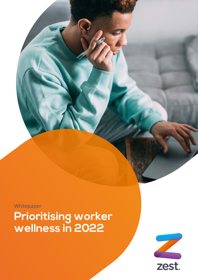Whitepaper **Prioritising worker wellness in 2022**

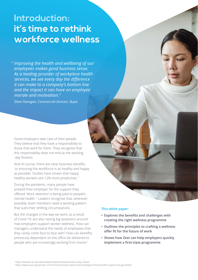# **Introduction: it's time to rethink workforce wellness**

*" Improving the health and wellbeing of our employees makes good business sense. As a leading provider of workplace health services, we see every day the difference it can make to a company's bottom line and the impact it can have on employee morale and motivation."*

*Steve Flanagan, Commercial Director, Bupa*

Good employers take care of their people. They believe that they have a responsibility to those that work for them. They recognise that this responsibility does not end as the working day finishes.

And of course, there are clear business benefits to ensuring the workforce is as healthy and happy as possible. Studies have shown that happy healthy workers are 12% more productive.<sup>1</sup>

During the pandemic, many people have praised their employer for the support they offered. More attention is being paid to people's mental health. 2 Leaders recognise that, wherever possible, team members need a working pattern that suits their shifting circumstances.

But the changes in the way we work, as a result of Covid-19, are also raising big questions around how employers support worker wellness. How can managers understand the needs of employees that they rarely come face to face with? How can benefits previously dependent on the office be delivered to people who are increasingly working from home?

#### This white paper:

- • Explores the benefits and challenges with creating the right wellness programme
- • Outlines the principles to crafting a wellness offer fit for the future of work
- Shows how Zest can help employers quickly implement a first-class programme

<sup>1</sup> https://warwick.ac.uk/newsandevents/pressreleases/new\_study\_shows/

<sup>2</sup> https://www.acas.org.uk/over-a-third-of-businesses-report-that-employee-mental-health-support-has-got-better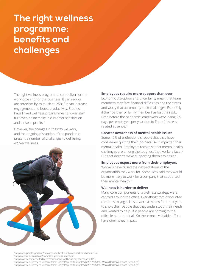# **The right wellness programme: benefits and challenges**

The right wellness programme can deliver for the workforce and for the business. It can reduce absenteeism by as much as 25%. 3 It can increase engagement and boost productivity. Studies have linked wellness programmes to lower staff turnover, an increase in customer satisfaction and a rise in profits.<sup>4</sup>

However, the changes in the way we work, and the ongoing disruption of the pandemic, present a number of challenges to delivering worker wellness.



#### **Employees require more support than ever**

Economic disruption and uncertainty mean that team members may face financial difficulties and the stress and worry that accompany such challenges. Especially if their partner or family member has lost their job. Even before the pandemic, employers were losing 2.5 days per employee, per year due to financial stressrelated absence. 5

## **Greater awareness of mental health issues**

Some 46% of professionals report that they have considered quitting their job because it impacted their mental health. Employers recognise that mental health challenges are among the toughest that workers face. 6 But that doesn't make supporting them any easier.

### **Employees expect more from their employers**

Workers have raised their expectations of the organisation they work for. Some 78% said they would be more likely to work for a company that supported their mental health<sup>7</sup>

#### **Wellness is harder to deliver**

Many core components of a wellness strategy were centred around the office. Everything from discounted canteens to yoga classes were a means for employers to show their people that they understood their needs and wanted to help. But people are coming to the office less, or not at all. So these once-valuable offers have diminished impact.

- <sup>5</sup> https://www.personneltoday.com/hr/financial-wellbeing-neyber-report-2019/
- <sup>6</sup> https://www.cv-library.co.uk/recruitment-insight/wp-content/uploads/2017/11/CVL\_MentalHealthWorkplace\_Report.pdf
- <sup>7</sup> https://www.cv-library.co.uk/recruitment-insight/wp-content/uploads/2017/11/CVL\_MentalHealthWorkplace\_Report.pdf

<sup>3</sup> https://corporatesports.ae/do-corporate-health-initiatives-reduce-absenteeism/

<sup>4</sup> https://leftronic.com/blog/workplace-wellness-statistics/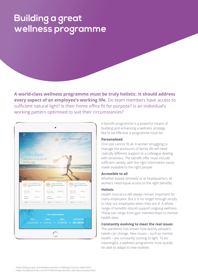# **Building a great wellness programme**

**A world-class wellness programme must be truly holistic. It should address every aspect of an employee's working life.** Do team members have access to sufficient natural light? Is their home office fit for purpose? Is an individual's working pattern optimised to suit their circumstances?



A benefit programme is a powerful means of building and enhancing a wellness strategy. But to be effective a programme must be:

### **Personalised**

One size cannot fit all. A worker struggling to manage the pressures of family life will need radically different support to a colleague dealing with loneliness. The benefit offer must include sufficient variety, with the right information easily made available to the right people.

### **Accessible to all**

Whether based remotely or at headquarters, all workers need equal access to the right benefits.

### **Holistic**

Health insurance will always remain important for many employees. But it is no longer enough simply to help out employees when they are ill. A whole range of benefits should support ongoing wellness. These can range from gym memberships to mental health days.

## **Constantly evolving to meet the real issues**

The pandemic has shown how quickly people's needs can change. New issues – such as mental health – are constantly coming to light. To be meaningful, a wellness programme must quickly be able to adapt to new realities.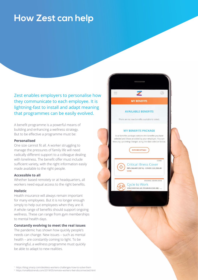# **How Zest can help**

Zest enables employers to personalise how they communicate to each employee. It is lightning-fast to install and adapt meaning that programmes can be easily evolved.

A benefit programme is a powerful means of building and enhancing a wellness strategy. But to be effective a programme must be:

### **Personalised**

One size cannot fit all. A worker struggling to manage the pressures of family life will need radically different support to a colleague dealing with loneliness. The benefit offer must include sufficient variety, with the right information easily made available to the right people.

### **Accessible to all**

Whether based remotely or at headquarters, all workers need equal access to the right benefits.

#### **Holistic**

Health insurance will always remain important for many employees. But it is no longer enough simply to help out employees when they are ill. A whole range of benefits should support ongoing wellness. These can range from gym memberships to mental health days.

#### **Constantly evolving to meet the real issues**

The pandemic has shown how quickly people's needs can change. New issues – such as mental health – are constantly coming to light. To be meaningful, a wellness programme must quickly be able to adapt to new realities.



#### **AVAILABLE BENEFITS**

There are no new benefits available to select.

#### **MY BENEFITS PACKAGE**

Your benefits package contains the benefits you have selected and those provided by your employer. You can view any upcoming changes using the date selector below.

**EXPAND DETAILS** 

CORE **Critical Illness Cover** 90% SALARY (90 %) - COVER: £26,955.00 VIEW ENDING 30/09/2018 **Cycle to Work** VOUCHER VALUE (POUNDS £500.00) - ..

<sup>1</sup> https://blog.smarp.com/deskless-workers-challenges-how-to-solve-them <sup>2</sup> https://smallbiztrends.com/2019/05/remote-workers-feel-disconnected.html